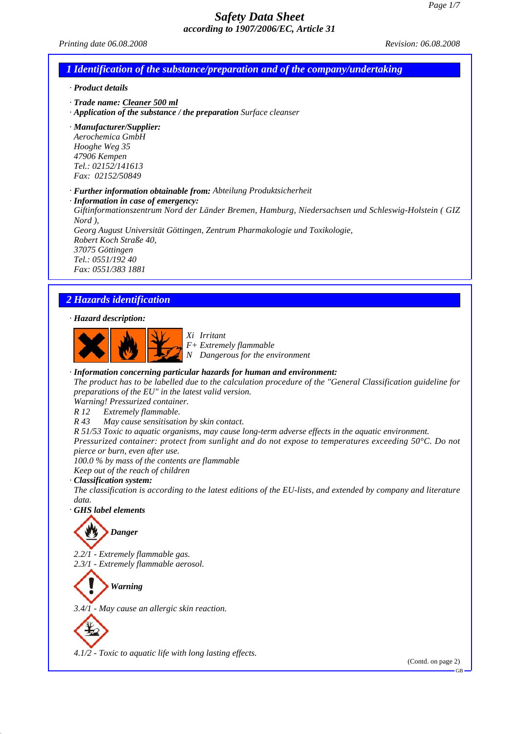*Printing date 06.08.2008 Revision: 06.08.2008 Revision: 06.08.2008* 

### *1 Identification of the substance/preparation and of the company/undertaking*

#### *· Product details*

- *· Trade name: Cleaner 500 ml*
- *· Application of the substance / the preparation Surface cleanser*

*· Manufacturer/Supplier: Aerochemica GmbH Hooghe Weg 35 47906 Kempen Tel.: 02152/141613 Fax: 02152/50849*

*· Further information obtainable from: Abteilung Produktsicherheit*

*· Information in case of emergency: Giftinformationszentrum Nord der Länder Bremen, Hamburg, Niedersachsen und Schleswig-Holstein ( GIZ Nord ), Georg August Universität Göttingen, Zentrum Pharmakologie und Toxikologie, Robert Koch Straße 40, 37075 Göttingen Tel.: 0551/192 40 Fax: 0551/383 1881*

### *2 Hazards identification*

### *· Hazard description:*



*Xi Irritant F+ Extremely flammable N Dangerous for the environment*

#### *· Information concerning particular hazards for human and environment:*

*The product has to be labelled due to the calculation procedure of the "General Classification guideline for preparations of the EU" in the latest valid version.*

*Warning! Pressurized container.*

- *R 12 Extremely flammable.*
- *R 43 May cause sensitisation by skin contact.*

*R 51/53 Toxic to aquatic organisms, may cause long-term adverse effects in the aquatic environment. Pressurized container: protect from sunlight and do not expose to temperatures exceeding 50°C. Do not pierce or burn, even after use.*

*100.0 % by mass of the contents are flammable*

*Keep out of the reach of children · Classification system:*

*The classification is according to the latest editions of the EU-lists, and extended by company and literature data.*

*· GHS label elements*

# *Danger*

*2.2/1 - Extremely flammable gas. 2.3/1 - Extremely flammable aerosol.*

*Warning*

*3.4/1 - May cause an allergic skin reaction.*



*4.1/2 - Toxic to aquatic life with long lasting effects.*

(Contd. on page 2)

GB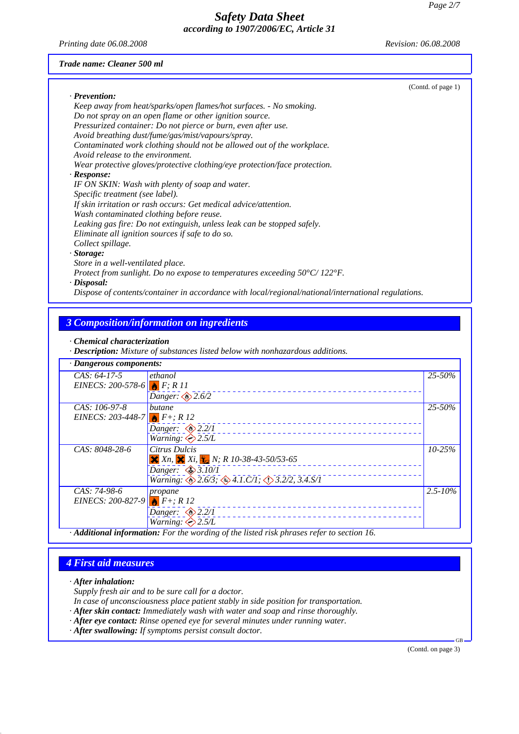*Printing date 06.08.2008 Revision: 06.08.2008*

#### *Trade name: Cleaner 500 ml*

|                                                                                                     | (Contd. of page 1) |
|-----------------------------------------------------------------------------------------------------|--------------------|
| $\cdot$ Prevention:                                                                                 |                    |
| Keep away from heat/sparks/open flames/hot surfaces. - No smoking.                                  |                    |
| Do not spray on an open flame or other ignition source.                                             |                    |
| Pressurized container: Do not pierce or burn, even after use.                                       |                    |
| Avoid breathing dust/fume/gas/mist/vapours/spray.                                                   |                    |
| Contaminated work clothing should not be allowed out of the workplace.                              |                    |
| Avoid release to the environment.                                                                   |                    |
| Wear protective gloves/protective clothing/eye protection/face protection.                          |                    |
| $\cdot$ Response:                                                                                   |                    |
| IF ON SKIN: Wash with plenty of soap and water.                                                     |                    |
| Specific treatment (see label).                                                                     |                    |
| If skin irritation or rash occurs: Get medical advice/attention.                                    |                    |
| Wash contaminated clothing before reuse.                                                            |                    |
| Leaking gas fire: Do not extinguish, unless leak can be stopped safely.                             |                    |
| Eliminate all ignition sources if safe to do so.                                                    |                    |
| Collect spillage.                                                                                   |                    |
| $\cdot$ Storage:                                                                                    |                    |
| Store in a well-ventilated place.                                                                   |                    |
| Protect from sunlight. Do no expose to temperatures exceeding $50^{\circ}$ C/122 $^{\circ}$ F.      |                    |
| $\cdot$ Disposal:                                                                                   |                    |
| Dispose of contents/container in accordance with local/regional/national/international regulations. |                    |

### *3 Composition/information on ingredients*

*<sup>·</sup> Description: Mixture of substances listed below with nonhazardous additions.*

| · Dangerous components:                       |                                                                                         |              |
|-----------------------------------------------|-----------------------------------------------------------------------------------------|--------------|
| $CAS: 64-17-5$                                | ethanol                                                                                 | 25-50%       |
| <i>EINECS:</i> 200-578-6 $F; R11$             |                                                                                         |              |
|                                               | Danger: $\otimes$ 2.6/2                                                                 |              |
| $CAS: 106-97-8$                               | butane                                                                                  | $25 - 50%$   |
| <i>EINECS:</i> 203-448-7 <b>1</b> $F+$ ; R 12 |                                                                                         |              |
|                                               | Danger: $\otimes$ 2.2/1                                                                 |              |
|                                               | <i>Warning</i> : $\bigotimes 2.5/L$                                                     |              |
| CAS: 8048-28-6                                | Citrus Dulcis                                                                           | $10 - 25%$   |
|                                               | $X_n$ , $X_i$ , $Y_n$ , $N$ ; R 10-38-43-50/53-65                                       |              |
|                                               | Danger: $\otimes$ 3.10/1                                                                |              |
|                                               | Warning: $\bigotimes 2.6/3$ ; $\bigotimes 4.1$ .C/1; $\bigotimes 3.2/2$ , 3.4.S/1       |              |
| CAS: 74-98-6                                  | propane                                                                                 | $2.5 - 10\%$ |
| <i>EINECS:</i> 200-827-9 $F$ F+; R 12         |                                                                                         |              |
|                                               | Danger: $\otimes$ 2.2/1                                                                 |              |
|                                               | <i>Warning</i> : $\diamondsuit$ 2.5/L                                                   |              |
|                                               | Additional information: For the wording of the listed risk phrases refer to section 16. |              |

### *4 First aid measures*

*· After inhalation:*

*Supply fresh air and to be sure call for a doctor.*

*In case of unconsciousness place patient stably in side position for transportation.*

- *· After skin contact: Immediately wash with water and soap and rinse thoroughly.*
- *· After eye contact: Rinse opened eye for several minutes under running water.*
- *· After swallowing: If symptoms persist consult doctor.*

(Contd. on page 3)

GB

*<sup>·</sup> Chemical characterization*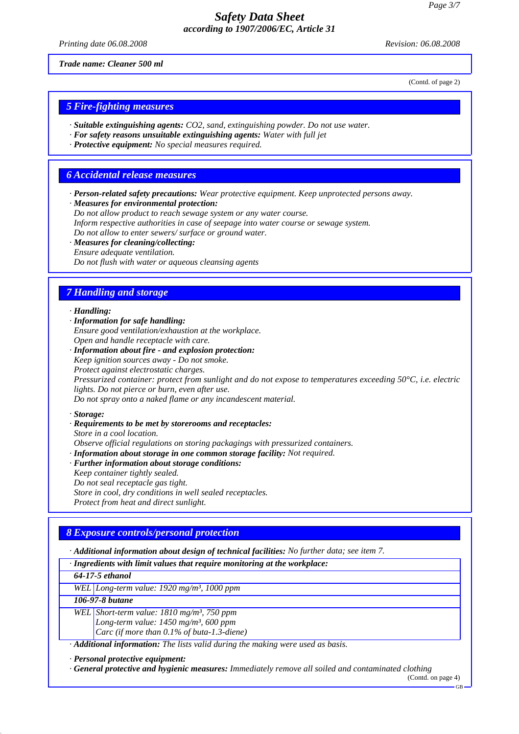*Printing date 06.08.2008 Revision: 06.08.2008 Revision: 06.08.2008* 

*Trade name: Cleaner 500 ml*

(Contd. of page 2)

### *5 Fire-fighting measures*

- *· Suitable extinguishing agents: CO2, sand, extinguishing powder. Do not use water.*
- *· For safety reasons unsuitable extinguishing agents: Water with full jet*
- *· Protective equipment: No special measures required.*

### *6 Accidental release measures*

*· Person-related safety precautions: Wear protective equipment. Keep unprotected persons away.*

*· Measures for environmental protection:*

*Do not allow product to reach sewage system or any water course.*

*Inform respective authorities in case of seepage into water course or sewage system.*

*Do not allow to enter sewers/ surface or ground water.*

*· Measures for cleaning/collecting:*

*Ensure adequate ventilation.*

*Do not flush with water or aqueous cleansing agents*

### *7 Handling and storage*

#### *· Handling:*

- *· Information for safe handling: Ensure good ventilation/exhaustion at the workplace. Open and handle receptacle with care.*
- *· Information about fire and explosion protection: Keep ignition sources away - Do not smoke. Protect against electrostatic charges. Pressurized container: protect from sunlight and do not expose to temperatures exceeding 50°C, i.e. electric lights. Do not pierce or burn, even after use. Do not spray onto a naked flame or any incandescent material.*

#### *· Storage:*

*· Requirements to be met by storerooms and receptacles: Store in a cool location.*

*Observe official regulations on storing packagings with pressurized containers.*

- *· Information about storage in one common storage facility: Not required.*
- *· Further information about storage conditions: Keep container tightly sealed. Do not seal receptacle gas tight. Store in cool, dry conditions in well sealed receptacles. Protect from heat and direct sunlight.*

### *8 Exposure controls/personal protection*

*· Additional information about design of technical facilities: No further data; see item 7.*

*· Ingredients with limit values that require monitoring at the workplace:*

*64-17-5 ethanol*

*WEL Long-term value: 1920 mg/m³, 1000 ppm*

#### *106-97-8 butane*

*WEL Short-term value: 1810 mg/m³, 750 ppm Long-term value: 1450 mg/m³, 600 ppm Carc (if more than 0.1% of buta-1.3-diene)*

*· Additional information: The lists valid during the making were used as basis.*

*· Personal protective equipment:*

*· General protective and hygienic measures: Immediately remove all soiled and contaminated clothing*

(Contd. on page 4)  $GR$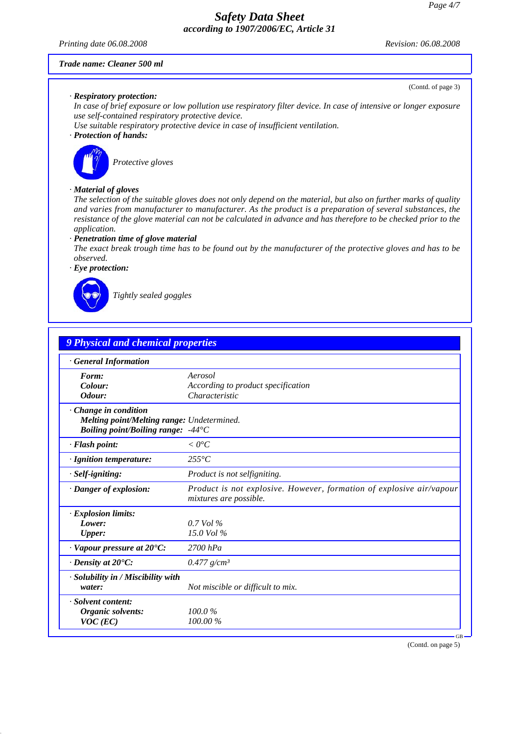*Printing date 06.08.2008 Revision: 06.08.2008*

(Contd. of page 3)

#### *Trade name: Cleaner 500 ml*

#### *· Respiratory protection:*

*In case of brief exposure or low pollution use respiratory filter device. In case of intensive or longer exposure use self-contained respiratory protective device.*

*Use suitable respiratory protective device in case of insufficient ventilation.*

### *· Protection of hands:*



*Protective gloves*

#### *· Material of gloves*

*The selection of the suitable gloves does not only depend on the material, but also on further marks of quality and varies from manufacturer to manufacturer. As the product is a preparation of several substances, the resistance of the glove material can not be calculated in advance and has therefore to be checked prior to the application.*

#### *· Penetration time of glove material*

*The exact break trough time has to be found out by the manufacturer of the protective gloves and has to be observed.*

*· Eye protection:*



*Tightly sealed goggles*

| <b>General Information</b>                                                                                              |                                                                                                |
|-------------------------------------------------------------------------------------------------------------------------|------------------------------------------------------------------------------------------------|
| Form:                                                                                                                   | Aerosol                                                                                        |
| Colour:<br>Odour:                                                                                                       | According to product specification<br>Characteristic                                           |
| Change in condition<br>Melting point/Melting range: Undetermined.<br><i>Boiling point/Boiling range:</i> $-44^{\circ}C$ |                                                                                                |
| · Flash point:                                                                                                          | $< 0^{\circ}C$                                                                                 |
| · Ignition temperature:                                                                                                 | $255^{\circ}C$                                                                                 |
| · Self-igniting:                                                                                                        | Product is not selfigniting.                                                                   |
| · Danger of explosion:                                                                                                  | Product is not explosive. However, formation of explosive air/vapour<br>mixtures are possible. |
| · Explosion limits:                                                                                                     |                                                                                                |
| Lower:                                                                                                                  | $0.7$ Vol %                                                                                    |
| Upper:                                                                                                                  | $15.0$ Vol %                                                                                   |
| $\cdot$ Vapour pressure at 20 $\rm ^{\bullet}C\rm ^{\cdot}$                                                             | $2700$ hPa                                                                                     |
| $\cdot$ Density at 20 $\degree$ C:                                                                                      | $0.477$ g/cm <sup>3</sup>                                                                      |
| $\cdot$ Solubility in / Miscibility with<br>water:                                                                      | Not miscible or difficult to mix.                                                              |
| · Solvent content:                                                                                                      |                                                                                                |
| Organic solvents:<br>$VOC$ (EC)                                                                                         | 100.0%<br>100.00%                                                                              |

(Contd. on page 5)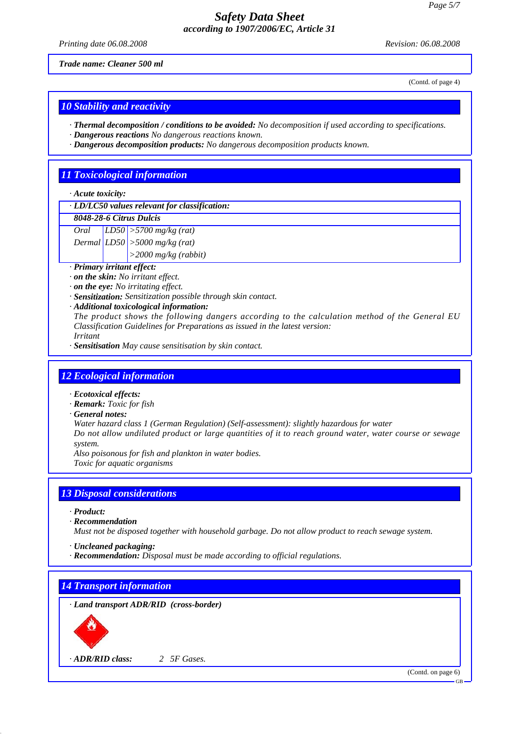*Printing date 06.08.2008 Revision: 06.08.2008 Revision: 06.08.2008* 

*Trade name: Cleaner 500 ml*

(Contd. of page 4)

### *10 Stability and reactivity*

- *· Thermal decomposition / conditions to be avoided: No decomposition if used according to specifications.*
- *· Dangerous reactions No dangerous reactions known.*
- *· Dangerous decomposition products: No dangerous decomposition products known.*

### *11 Toxicological information*

#### *· Acute toxicity:*

#### *· LD/LC50 values relevant for classification:*

### *8048-28-6 Citrus Dulcis*

- *Oral LD50 >5700 mg/kg (rat)*
- *Dermal LD50 >5000 mg/kg (rat) >2000 mg/kg (rabbit)*
	-

# *· Primary irritant effect:*

- *· on the skin: No irritant effect.*
- *· on the eye: No irritating effect.*
- *· Sensitization: Sensitization possible through skin contact.*
- *· Additional toxicological information:*
- *The product shows the following dangers according to the calculation method of the General EU Classification Guidelines for Preparations as issued in the latest version: Irritant*
- *· Sensitisation May cause sensitisation by skin contact.*

### *12 Ecological information*

- *· Ecotoxical effects:*
- *· Remark: Toxic for fish*
- *· General notes:*

*Water hazard class 1 (German Regulation) (Self-assessment): slightly hazardous for water*

*Do not allow undiluted product or large quantities of it to reach ground water, water course or sewage system.*

*Also poisonous for fish and plankton in water bodies. Toxic for aquatic organisms*

### *13 Disposal considerations*

- *· Product:*
- *· Recommendation*
- *Must not be disposed together with household garbage. Do not allow product to reach sewage system.*
- *· Uncleaned packaging:*
- *· Recommendation: Disposal must be made according to official regulations.*

*14 Transport information*

*· Land transport ADR/RID (cross-border)*



*· ADR/RID class: 2 5F Gases.*

(Contd. on page 6)

GB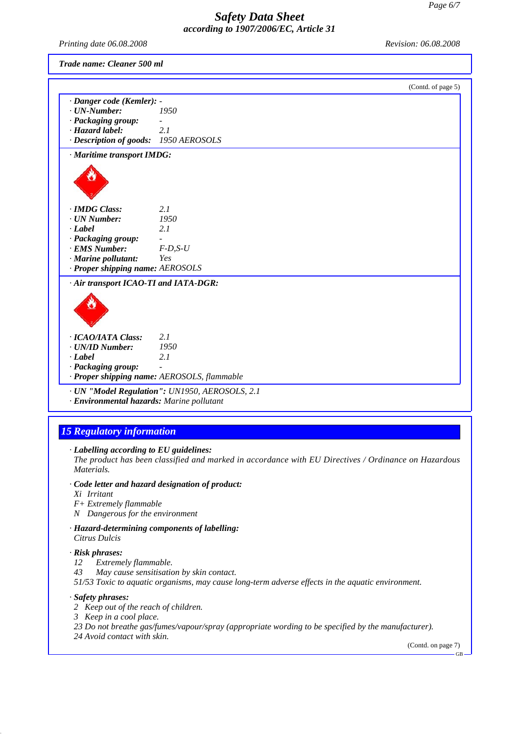*Printing date 06.08.2008 Revision: 06.08.2008*

*Trade name: Cleaner 500 ml*

|                                           | (Contd. of page 5)                             |  |
|-------------------------------------------|------------------------------------------------|--|
| · Danger code (Kemler): -                 |                                                |  |
| $\cdot$ UN-Number:                        | 1950                                           |  |
| · Packaging group:                        |                                                |  |
| · Hazard label:                           | 2.1                                            |  |
| · Description of goods: 1950 AEROSOLS     |                                                |  |
| · Maritime transport IMDG:                |                                                |  |
|                                           |                                                |  |
| · <b>IMDG</b> Class:                      | 2.1                                            |  |
| $\cdot$ UN Number:                        | 1950                                           |  |
| $\cdot$ <i>Label</i>                      | 2.1                                            |  |
| · Packaging group:                        |                                                |  |
| · EMS Number:                             | $F$ -D,S-U                                     |  |
| $\cdot$ Marine pollutant:                 | Yes                                            |  |
| · Proper shipping name: AEROSOLS          |                                                |  |
| · Air transport ICAO-TI and IATA-DGR:     |                                                |  |
| · ICAO/IATA Class:                        | 2.1                                            |  |
| · UN/ID Number:                           | 1950                                           |  |
| $\cdot$ <i>Label</i>                      | 2.1                                            |  |
| · Packaging group:                        |                                                |  |
|                                           | · Proper shipping name: AEROSOLS, flammable    |  |
| · Environmental hazards: Marine pollutant | · UN "Model Regulation": UN1950, AEROSOLS, 2.1 |  |

# *15 Regulatory information*

*· Labelling according to EU guidelines:*

*The product has been classified and marked in accordance with EU Directives / Ordinance on Hazardous Materials.*

- *· Code letter and hazard designation of product:*
- *Xi Irritant*
- *F+ Extremely flammable*
- *N Dangerous for the environment*
- *· Hazard-determining components of labelling: Citrus Dulcis*

#### *· Risk phrases:*

- *12 Extremely flammable.*
- *43 May cause sensitisation by skin contact.*

*51/53 Toxic to aquatic organisms, may cause long-term adverse effects in the aquatic environment.*

### *· Safety phrases:*

- *2 Keep out of the reach of children.*
- *3 Keep in a cool place.*
- *23 Do not breathe gas/fumes/vapour/spray (appropriate wording to be specified by the manufacturer).*
- *24 Avoid contact with skin.*

(Contd. on page 7)

GB